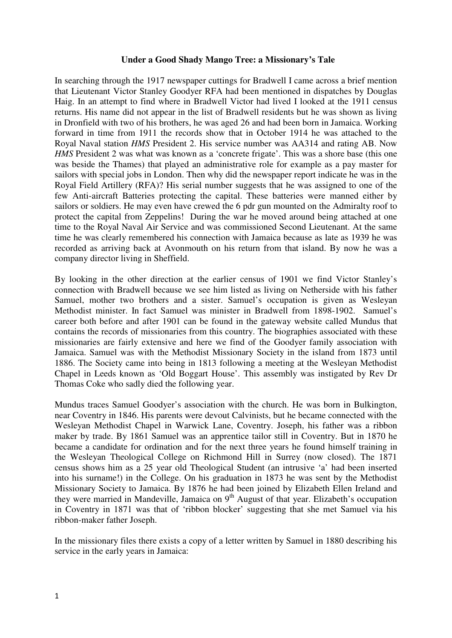## **Under a Good Shady Mango Tree: a Missionary's Tale**

In searching through the 1917 newspaper cuttings for Bradwell I came across a brief mention that Lieutenant Victor Stanley Goodyer RFA had been mentioned in dispatches by Douglas Haig. In an attempt to find where in Bradwell Victor had lived I looked at the 1911 census returns. His name did not appear in the list of Bradwell residents but he was shown as living in Dronfield with two of his brothers, he was aged 26 and had been born in Jamaica. Working forward in time from 1911 the records show that in October 1914 he was attached to the Royal Naval station *HMS* President 2. His service number was AA314 and rating AB. Now *HMS* President 2 was what was known as a 'concrete frigate'. This was a shore base (this one was beside the Thames) that played an administrative role for example as a pay master for sailors with special jobs in London. Then why did the newspaper report indicate he was in the Royal Field Artillery (RFA)? His serial number suggests that he was assigned to one of the few Anti-aircraft Batteries protecting the capital. These batteries were manned either by sailors or soldiers. He may even have crewed the 6 pdr gun mounted on the Admiralty roof to protect the capital from Zeppelins! During the war he moved around being attached at one time to the Royal Naval Air Service and was commissioned Second Lieutenant. At the same time he was clearly remembered his connection with Jamaica because as late as 1939 he was recorded as arriving back at Avonmouth on his return from that island. By now he was a company director living in Sheffield.

By looking in the other direction at the earlier census of 1901 we find Victor Stanley's connection with Bradwell because we see him listed as living on Netherside with his father Samuel, mother two brothers and a sister. Samuel's occupation is given as Wesleyan Methodist minister. In fact Samuel was minister in Bradwell from 1898-1902. Samuel's career both before and after 1901 can be found in the gateway website called Mundus that contains the records of missionaries from this country. The biographies associated with these missionaries are fairly extensive and here we find of the Goodyer family association with Jamaica. Samuel was with the Methodist Missionary Society in the island from 1873 until 1886. The Society came into being in 1813 following a meeting at the Wesleyan Methodist Chapel in Leeds known as 'Old Boggart House'. This assembly was instigated by Rev Dr Thomas Coke who sadly died the following year.

Mundus traces Samuel Goodyer's association with the church. He was born in Bulkington, near Coventry in 1846. His parents were devout Calvinists, but he became connected with the Wesleyan Methodist Chapel in Warwick Lane, Coventry. Joseph, his father was a ribbon maker by trade. By 1861 Samuel was an apprentice tailor still in Coventry. But in 1870 he became a candidate for ordination and for the next three years he found himself training in the Wesleyan Theological College on Richmond Hill in Surrey (now closed). The 1871 census shows him as a 25 year old Theological Student (an intrusive 'a' had been inserted into his surname!) in the College. On his graduation in 1873 he was sent by the Methodist Missionary Society to Jamaica. By 1876 he had been joined by Elizabeth Ellen Ireland and they were married in Mandeville, Jamaica on  $9<sup>th</sup>$  August of that year. Elizabeth's occupation in Coventry in 1871 was that of 'ribbon blocker' suggesting that she met Samuel via his ribbon-maker father Joseph.

In the missionary files there exists a copy of a letter written by Samuel in 1880 describing his service in the early years in Jamaica: